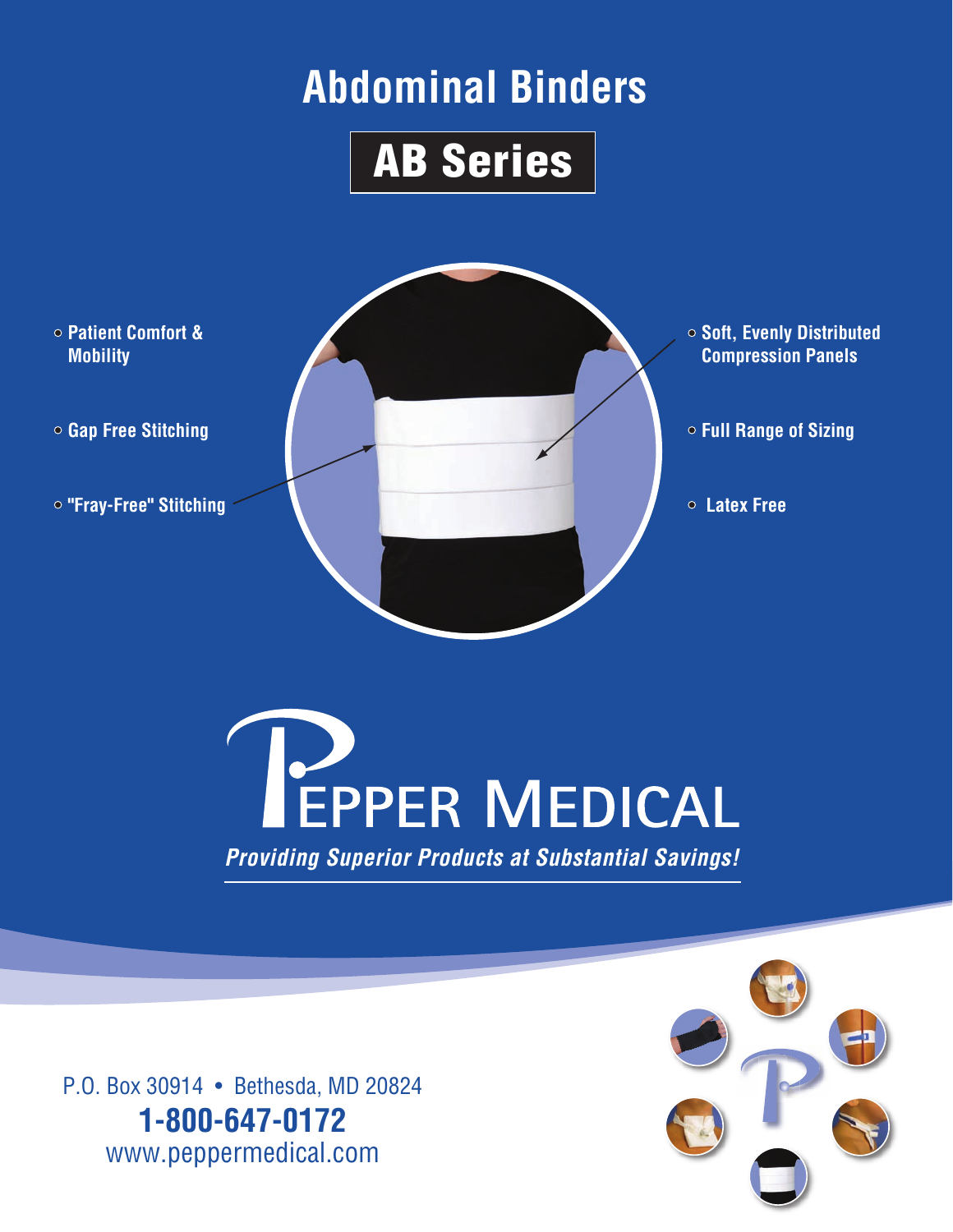## **Abdominal Binders**







P.O. Box 30914 • Bethesda, MD 20824 **1-800-647-0172** www.peppermedical.com